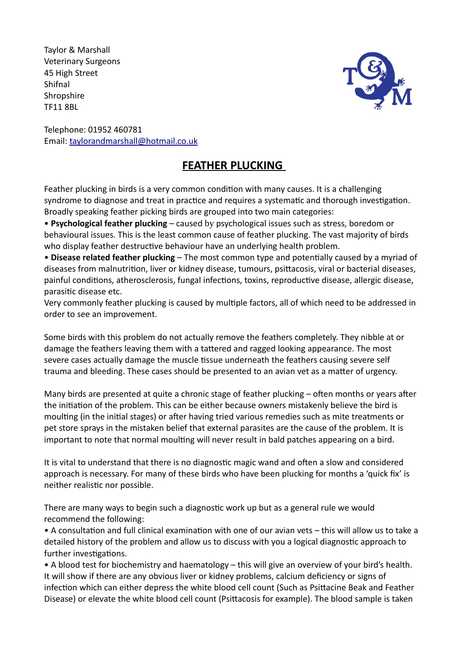Taylor & Marshall Veterinary Surgeons 45 High Street Shifnal **Shropshire** TF11 8BL



Telephone: 01952 460781 Email: taylorandmarshall@hotmail.co.uk

## **FEATHER PLUCKING**

Feather plucking in birds is a very common condition with many causes. It is a challenging syndrome to diagnose and treat in practice and requires a systematic and thorough investigation. Broadly speaking feather picking birds are grouped into two main categories:

• **Psychological feather plucking** – caused by psychological issues such as stress, boredom or behavioural issues. This is the least common cause of feather plucking. The vast majority of birds who display feather destructive behaviour have an underlying health problem.

• **Disease related feather plucking** – The most common type and potentially caused by a myriad of diseases from malnutrition, liver or kidney disease, tumours, psittacosis, viral or bacterial diseases, painful conditions, atherosclerosis, fungal infections, toxins, reproductive disease, allergic disease, parasitic disease etc.

Very commonly feather plucking is caused by multiple factors, all of which need to be addressed in order to see an improvement.

Some birds with this problem do not actually remove the feathers completely. They nibble at or damage the feathers leaving them with a tattered and ragged looking appearance. The most severe cases actually damage the muscle tissue underneath the feathers causing severe self trauma and bleeding. These cases should be presented to an avian vet as a matter of urgency.

Many birds are presented at quite a chronic stage of feather plucking – often months or years after the initiation of the problem. This can be either because owners mistakenly believe the bird is moulting (in the initial stages) or after having tried various remedies such as mite treatments or pet store sprays in the mistaken belief that external parasites are the cause of the problem. It is important to note that normal moulting will never result in bald patches appearing on a bird.

It is vital to understand that there is no diagnostic magic wand and often a slow and considered approach is necessary. For many of these birds who have been plucking for months a 'quick fix' is neither realistic nor possible.

There are many ways to begin such a diagnostic work up but as a general rule we would recommend the following:

• A consultation and full clinical examination with one of our avian vets – this will allow us to take a detailed history of the problem and allow us to discuss with you a logical diagnostic approach to further investigations.

• A blood test for biochemistry and haematology – this will give an overview of your bird's health. It will show if there are any obvious liver or kidney problems, calcium deficiency or signs of infection which can either depress the white blood cell count (Such as Psittacine Beak and Feather Disease) or elevate the white blood cell count (Psittacosis for example). The blood sample is taken